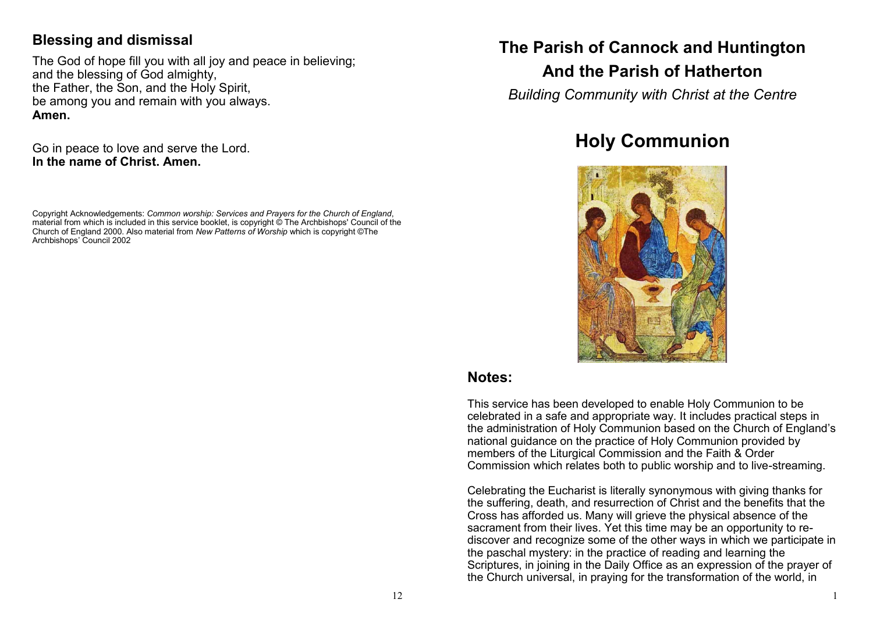### **Blessing and dismissal**

The God of hope fill you with all joy and peace in believing; and the blessing of God almighty, the Father, the Son, and the Holy Spirit, be among you and remain with you always. **Amen.**

Go in peace to love and serve the Lord. **In the name of Christ. Amen.**

Copyright Acknowledgements: *Common worship: Services and Prayers for the Church of England*, material from which is included in this service booklet, is copyright © The Archbishops' Council of the Church of England 2000. Also material from *New Patterns of Worship* which is copyright ©The Archbishops' Council 2002

# **The Parish of Cannock and Huntington**

# **And the Parish of Hatherton**

*Building Community with Christ at the Centre*

# **Holy Communion**



#### **Notes:**

This service has been developed to enable Holy Communion to be celebrated in a safe and appropriate way. It includes practical steps in the administration of Holy Communion based on the Church of England's national guidance on the practice of Holy Communion provided by members of the Liturgical Commission and the Faith & Order Commission which relates both to public worship and to live-streaming.

Celebrating the Eucharist is literally synonymous with giving thanks for the suffering, death, and resurrection of Christ and the benefits that the Cross has afforded us. Many will grieve the physical absence of the sacrament from their lives. Yet this time may be an opportunity to rediscover and recognize some of the other ways in which we participate in the paschal mystery: in the practice of reading and learning the Scriptures, in joining in the Daily Office as an expression of the prayer of the Church universal, in praying for the transformation of the world, in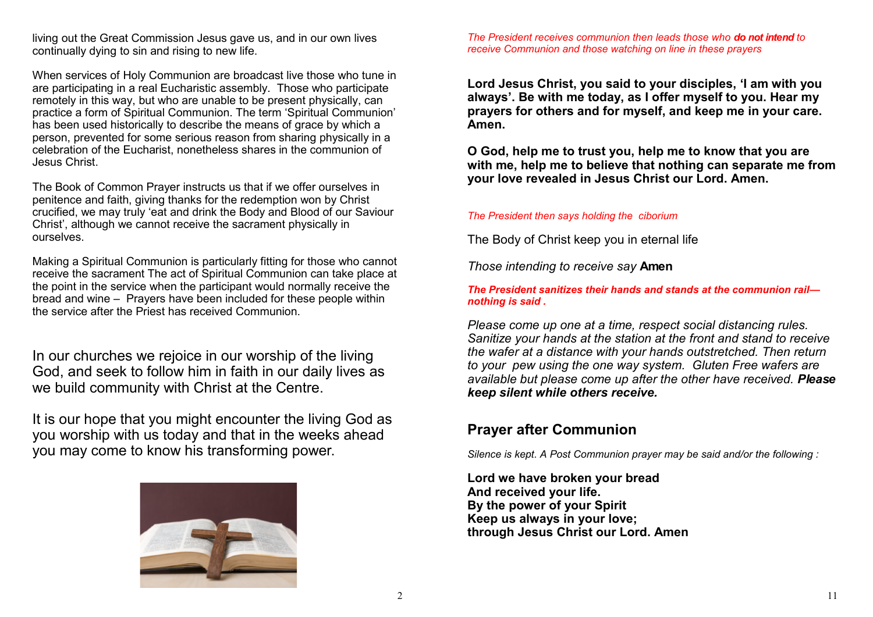living out the Great Commission Jesus gave us, and in our own lives continually dying to sin and rising to new life.

When services of Holy Communion are broadcast live those who tune in are participating in a real Eucharistic assembly. Those who participate remotely in this way, but who are unable to be present physically, can practice a form of Spiritual Communion. The term 'Spiritual Communion' has been used historically to describe the means of grace by which a person, prevented for some serious reason from sharing physically in a celebration of the Eucharist, nonetheless shares in the communion of Jesus Christ.

The Book of Common Prayer instructs us that if we offer ourselves in penitence and faith, giving thanks for the redemption won by Christ crucified, we may truly 'eat and drink the Body and Blood of our Saviour Christ', although we cannot receive the sacrament physically in ourselves.

Making a Spiritual Communion is particularly fitting for those who cannot receive the sacrament The act of Spiritual Communion can take place at the point in the service when the participant would normally receive the bread and wine – Prayers have been included for these people within the service after the Priest has received Communion.

In our churches we rejoice in our worship of the living God, and seek to follow him in faith in our daily lives as we build community with Christ at the Centre.

It is our hope that you might encounter the living God as you worship with us today and that in the weeks ahead you may come to know his transforming power.



*The President receives communion then leads those who do not intend to receive Communion and those watching on line in these prayers*

**Lord Jesus Christ, you said to your disciples, 'I am with you always'. Be with me today, as I offer myself to you. Hear my prayers for others and for myself, and keep me in your care. Amen.**

**O God, help me to trust you, help me to know that you are with me, help me to believe that nothing can separate me from your love revealed in Jesus Christ our Lord. Amen.** 

#### *The President then says holding the ciborium*

The Body of Christ keep you in eternal life

*Those intending to receive say* **Amen**

*The President sanitizes their hands and stands at the communion rail nothing is said .*

*Please come up one at a time, respect social distancing rules. Sanitize your hands at the station at the front and stand to receive the wafer at a distance with your hands outstretched. Then return to your pew using the one way system. Gluten Free wafers are available but please come up after the other have received. Please keep silent while others receive.*

#### **Prayer after Communion**

*Silence is kept. A Post Communion prayer may be said and/or the following :*

**Lord we have broken your bread And received your life. By the power of your Spirit Keep us always in your love; through Jesus Christ our Lord. Amen**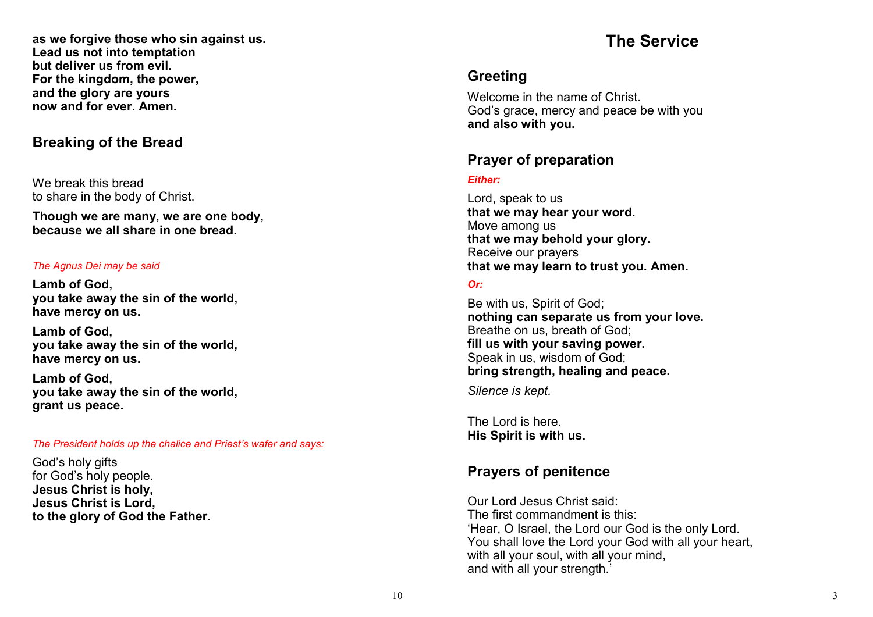**as we forgive those who sin against us. Lead us not into temptation but deliver us from evil. For the kingdom, the power, and the glory are yours now and for ever. Amen.**

### **Breaking of the Bread**

We break this bread to share in the body of Christ.

**Though we are many, we are one body, because we all share in one bread.**

#### *The Agnus Dei may be said*

**Lamb of God, you take away the sin of the world, have mercy on us.**

**Lamb of God, you take away the sin of the world, have mercy on us.**

**Lamb of God, you take away the sin of the world, grant us peace.**

#### *The President holds up the chalice and Priest 's wafer and says:*

God 's holy gifts for God 's holy people. **Jesus Christ is holy, Jesus Christ is Lord, to the glory of God the Father.**

# **The Service**

### **Greeting**

Welcome in the name of Christ. God 's grace, mercy and peace be with you **and also with you.**

### **Prayer of preparation**

#### *Either:*

Lord, speak to us **that we may hear your word.** Move among us **that we may behold your glory.** Receive our prayers **that we may learn to trust you. Amen.**

#### *Or:*

Be with us, Spirit of God; **nothing can separate us from your love.** Breathe on us, breath of God; **fill us with your saving power.** Speak in us, wisdom of God; **bring strength, healing and peace.**

*Silence is kept.*

The Lord is here. **His Spirit is with us.**

### **Prayers of penitence**

Our Lord Jesus Christ said: The first commandment is this: 'Hear, O Israel, the Lord our God is the only Lord. You shall love the Lord your God with all your heart, with all your soul, with all your mind, and with all your strength.'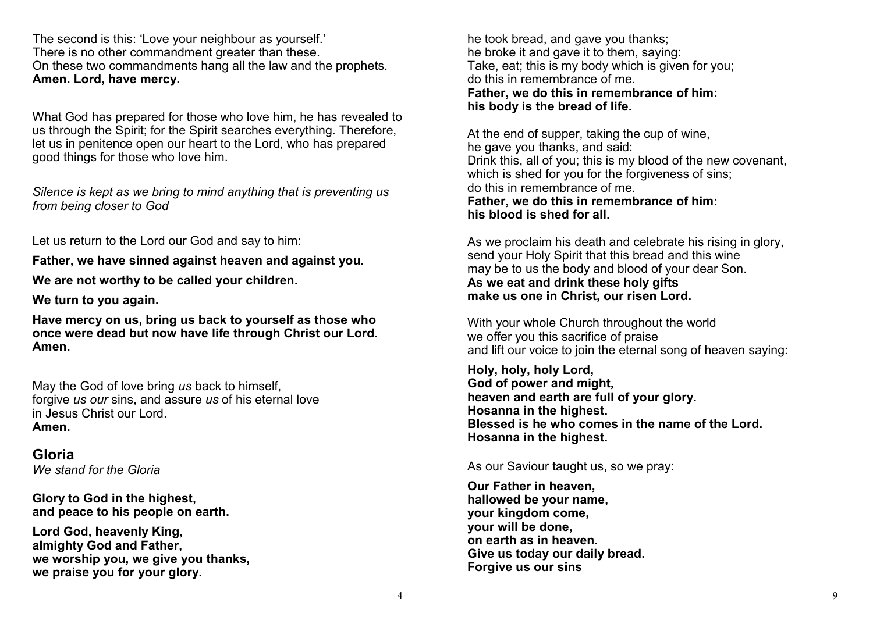The second is this: 'Love your neighbour as yourself.' There is no other commandment greater than these. On these two commandments hang all the law and the prophets. **Amen. Lord, have mercy.**

What God has prepared for those who love him, he has revealed to us through the Spirit; for the Spirit searches everything. Therefore, let us in penitence open our heart to the Lord, who has prepared good things for those who love him.

*Silence is kept as we bring to mind anything that is preventing us from being closer to God*

Let us return to the Lord our God and say to him:

**Father, we have sinned against heaven and against you.**

**We are not worthy to be called your children.**

**We turn to you again.** 

**Have mercy on us, bring us back to yourself as those who once were dead but now have life through Christ our Lord. Amen.**

May the God of love bring *us* back to himself, forgive *us our* sins, and assure *us* of his eternal love in Jesus Christ our Lord. **Amen.**

**Gloria** *We stand for the Gloria*

**Glory to God in the highest, and peace to his people on earth.**

**Lord God, heavenly King, almighty God and Father, we worship you, we give you thanks, we praise you for your glory.**

he took bread, and gave you thanks; he broke it and gave it to them, saying: Take, eat; this is my body which is given for you; do this in remembrance of me. **Father, we do this in remembrance of him: his body is the bread of life.**

At the end of supper, taking the cup of wine, he gave you thanks, and said: Drink this, all of you; this is my blood of the new covenant, which is shed for you for the forgiveness of sins; do this in remembrance of me. **Father, we do this in remembrance of him: his blood is shed for all.**

As we proclaim his death and celebrate his rising in glory, send your Holy Spirit that this bread and this wine may be to us the body and blood of your dear Son. **As we eat and drink these holy gifts make us one in Christ, our risen Lord.**

With your whole Church throughout the world we offer you this sacrifice of praise and lift our voice to join the eternal song of heaven saying:

**Holy, holy, holy Lord, God of power and might, heaven and earth are full of your glory. Hosanna in the highest. Blessed is he who comes in the name of the Lord. Hosanna in the highest.**

As our Saviour taught us, so we pray:

**Our Father in heaven, hallowed be your name, your kingdom come, your will be done, on earth as in heaven. Give us today our daily bread. Forgive us our sins**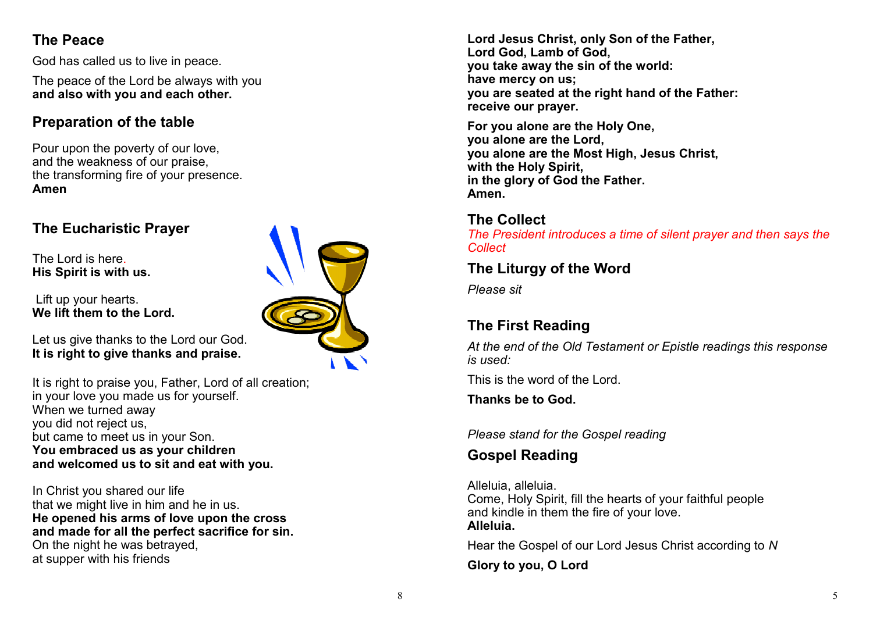# **The Peace**

God has called us to live in peace.

The peace of the Lord be always with you **and also with you and each other.**

## **Preparation of the table**

Pour upon the poverty of our love, and the weakness of our praise, the transforming fire of your presence. **Amen**

# **The Eucharistic Prayer**

The Lord is here. **His Spirit is with us.**

Lift up your hearts. **We lift them to the Lord.**



It is right to praise you, Father, Lord of all creation; in your love you made us for yourself. When we turned away you did not reject us, but came to meet us in your Son. **You embraced us as your children and welcomed us to sit and eat with you.**

In Christ you shared our life that we might live in him and he in us. **He opened his arms of love upon the cross and made for all the perfect sacrifice for sin.** On the night he was betrayed, at supper with his friends



**Lord Jesus Christ, only Son of the Father, Lord God, Lamb of God, you take away the sin of the world: have mercy on us; you are seated at the right hand of the Father: receive our prayer.**

**For you alone are the Holy One, you alone are the Lord, you alone are the Most High, Jesus Christ, with the Holy Spirit, in the glory of God the Father. Amen.**

### **The Collect**

*The President introduces a time of silent prayer and then says the Collect*

### **The Liturgy of the Word**

*Please sit*

# **The First Reading**

*At the end of the Old Testament or Epistle readings this response is used:*

This is the word of the Lord.

**Thanks be to God.**

*Please stand for the Gospel reading*

### **Gospel Reading**

Alleluia, alleluia. Come, Holy Spirit, fill the hearts of your faithful people and kindle in them the fire of your love. **Alleluia.**

Hear the Gospel of our Lord Jesus Christ according to *N*

**Glory to you, O Lord**